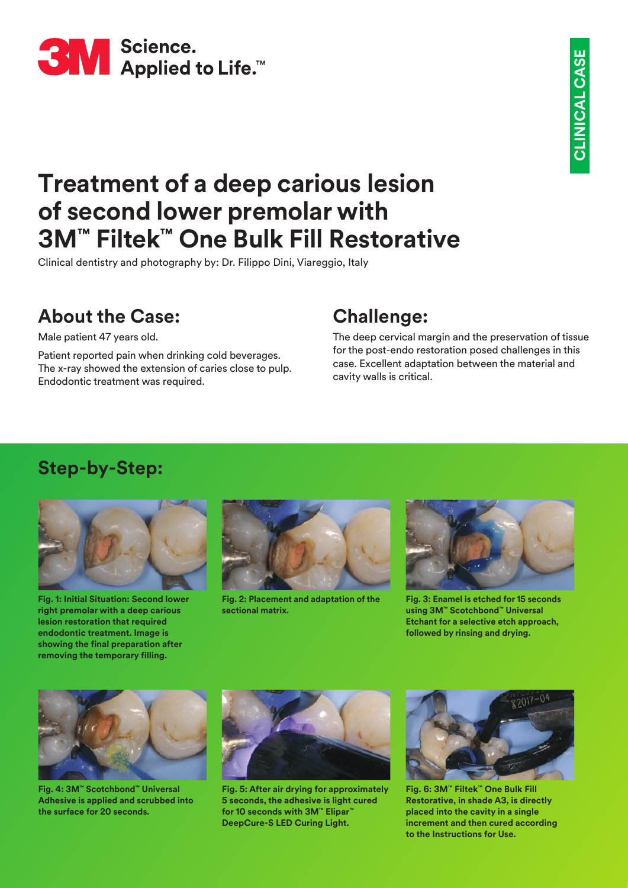

# **Treatment of a deep carious lesion of second lower premolar with 3M™ Filtek™ One Bulk Fill Restorative**

Clinical dentistry and photography by: Dr. Filippo Dini, Viareggio, Italy

## **About the Case:**

Male patient 47 years old.

Patient reported pain when drinking cold beverages. The x-ray showed the extension of caries close to pulp. Endodontic treatment was required.

### **Challenge:**

The deep cervical margin and the preservation of tissue for the post-endo restoration posed challenges in this case. Excellent adaptation between the material and cavity walls is critical.

#### **Step-by-Step:**



**Fig. 1: Initial Situation: Second lower right premolar with a deep carious lesion restoration that required endodontic treatment. Image is showing the final preparation after removing the temporary filling.**



**Fig. 2: Placement and adaptation of the sectional matrix.**



**Fig. 3: Enamel is etched for 15 seconds using 3M™ Scotchbond™ Universal Etchant for a selective etch approach, followed by rinsing and drying.**



**Fig. 4: 3M™ Scotchbond™ Universal Adhesive is applied and scrubbed into the surface for 20 seconds.**



**Fig. 5: After air drying for approximately 5 seconds, the adhesive is light cured for 10 seconds with 3M™ Elipar™ DeepCure-S LED Curing Light.**



**Fig. 6: 3M™ Filtek™ One Bulk Fill Restorative, in shade A3, is directly placed into the cavity in a single increment and then cured according to the Instructions for Use.**